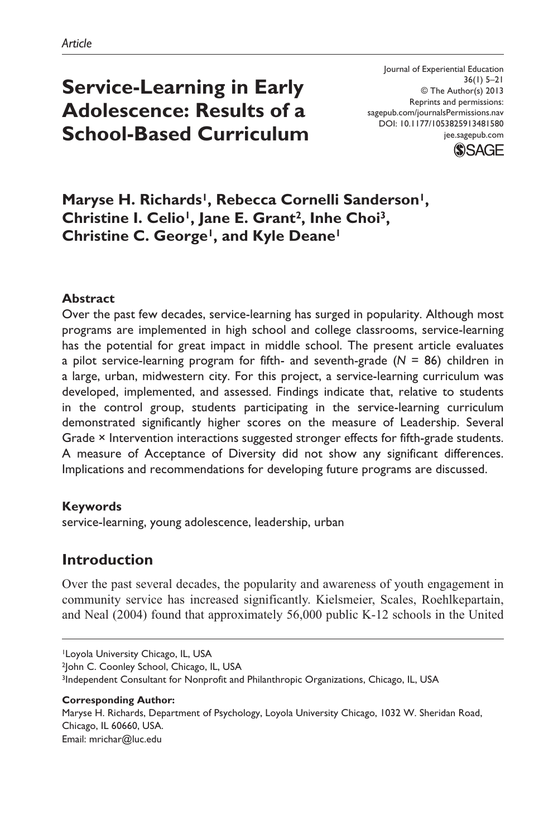# **Service-Learning in Early Adolescence: Results of a School-Based Curriculum**

Journal of Experiential Education 36(1) 5–21 © The Author(s) 2013 Reprints and permissions: sagepub.com/journalsPermissions.nav DOI: 10.1177/1053825913481580 jee.sagepub.com



# Maryse H. Richards<sup>1</sup>, Rebecca Cornelli Sanderson<sup>1</sup>, Christine I. Celio<sup>1</sup>, Jane E. Grant<sup>2</sup>, Inhe Choi<sup>3</sup>, **Christine C. George<sup>1</sup>, and Kyle Deane<sup>1</sup>**

#### **Abstract**

Over the past few decades, service-learning has surged in popularity. Although most programs are implemented in high school and college classrooms, service-learning has the potential for great impact in middle school. The present article evaluates a pilot service-learning program for fifth- and seventh-grade (*N* = 86) children in a large, urban, midwestern city. For this project, a service-learning curriculum was developed, implemented, and assessed. Findings indicate that, relative to students in the control group, students participating in the service-learning curriculum demonstrated significantly higher scores on the measure of Leadership. Several Grade × Intervention interactions suggested stronger effects for fifth-grade students. A measure of Acceptance of Diversity did not show any significant differences. Implications and recommendations for developing future programs are discussed.

#### **Keywords**

service-learning, young adolescence, leadership, urban

# **Introduction**

Over the past several decades, the popularity and awareness of youth engagement in community service has increased significantly. Kielsmeier, Scales, Roehlkepartain, and Neal (2004) found that approximately 56,000 public K-12 schools in the United

1Loyola University Chicago, IL, USA

2John C. Coonley School, Chicago, IL, USA

<sup>3</sup>Independent Consultant for Nonprofit and Philanthropic Organizations, Chicago, IL, USA

#### **Corresponding Author:**

Maryse H. Richards, Department of Psychology, Loyola University Chicago, 1032 W. Sheridan Road, Chicago, IL 60660, USA. Email: mrichar@luc.edu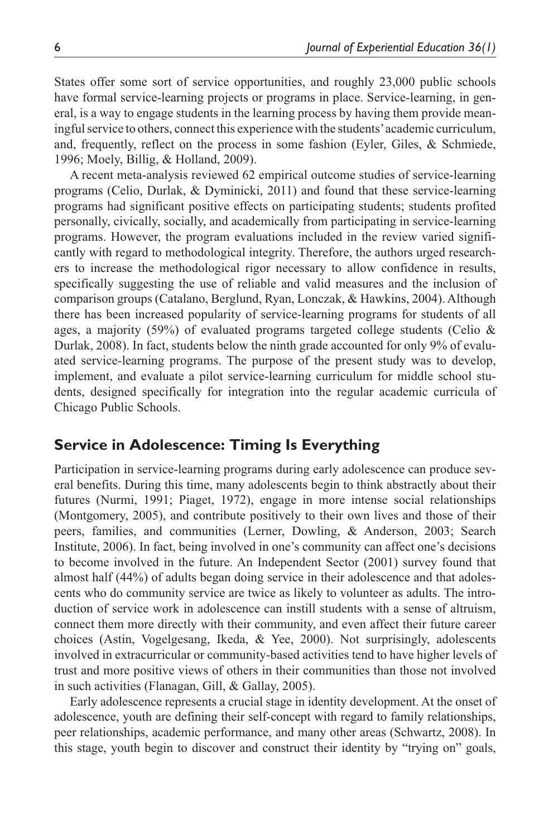States offer some sort of service opportunities, and roughly 23,000 public schools have formal service-learning projects or programs in place. Service-learning, in general, is a way to engage students in the learning process by having them provide meaningful service to others, connect this experience with the students' academic curriculum, and, frequently, reflect on the process in some fashion (Eyler, Giles, & Schmiede, 1996; Moely, Billig, & Holland, 2009).

A recent meta-analysis reviewed 62 empirical outcome studies of service-learning programs (Celio, Durlak, & Dyminicki, 2011) and found that these service-learning programs had significant positive effects on participating students; students profited personally, civically, socially, and academically from participating in service-learning programs. However, the program evaluations included in the review varied significantly with regard to methodological integrity. Therefore, the authors urged researchers to increase the methodological rigor necessary to allow confidence in results, specifically suggesting the use of reliable and valid measures and the inclusion of comparison groups (Catalano, Berglund, Ryan, Lonczak, & Hawkins, 2004). Although there has been increased popularity of service-learning programs for students of all ages, a majority (59%) of evaluated programs targeted college students (Celio & Durlak, 2008). In fact, students below the ninth grade accounted for only 9% of evaluated service-learning programs. The purpose of the present study was to develop, implement, and evaluate a pilot service-learning curriculum for middle school students, designed specifically for integration into the regular academic curricula of Chicago Public Schools.

## **Service in Adolescence: Timing Is Everything**

Participation in service-learning programs during early adolescence can produce several benefits. During this time, many adolescents begin to think abstractly about their futures (Nurmi, 1991; Piaget, 1972), engage in more intense social relationships (Montgomery, 2005), and contribute positively to their own lives and those of their peers, families, and communities (Lerner, Dowling, & Anderson, 2003; Search Institute, 2006). In fact, being involved in one's community can affect one's decisions to become involved in the future. An Independent Sector (2001) survey found that almost half (44%) of adults began doing service in their adolescence and that adolescents who do community service are twice as likely to volunteer as adults. The introduction of service work in adolescence can instill students with a sense of altruism, connect them more directly with their community, and even affect their future career choices (Astin, Vogelgesang, Ikeda, & Yee, 2000). Not surprisingly, adolescents involved in extracurricular or community-based activities tend to have higher levels of trust and more positive views of others in their communities than those not involved in such activities (Flanagan, Gill, & Gallay, 2005).

Early adolescence represents a crucial stage in identity development. At the onset of adolescence, youth are defining their self-concept with regard to family relationships, peer relationships, academic performance, and many other areas (Schwartz, 2008). In this stage, youth begin to discover and construct their identity by "trying on" goals,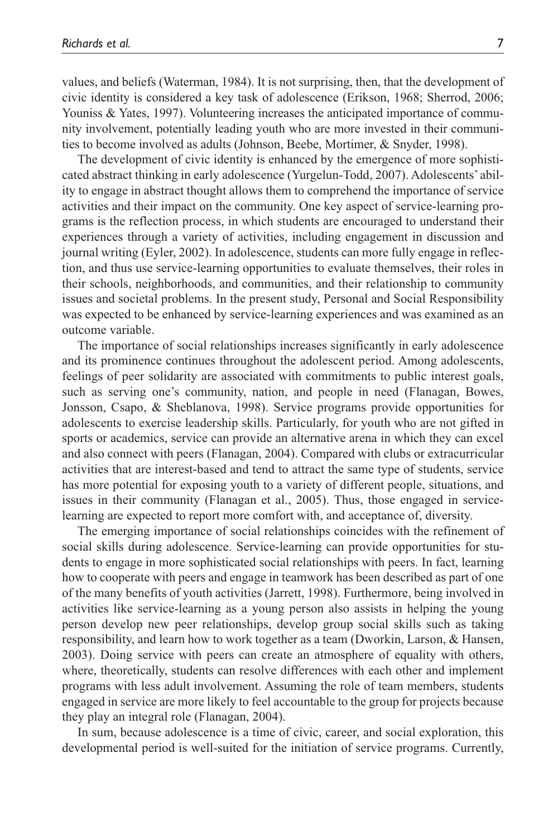values, and beliefs (Waterman, 1984). It is not surprising, then, that the development of civic identity is considered a key task of adolescence (Erikson, 1968; Sherrod, 2006; Youniss & Yates, 1997). Volunteering increases the anticipated importance of community involvement, potentially leading youth who are more invested in their communities to become involved as adults (Johnson, Beebe, Mortimer, & Snyder, 1998).

The development of civic identity is enhanced by the emergence of more sophisticated abstract thinking in early adolescence (Yurgelun-Todd, 2007). Adolescents' ability to engage in abstract thought allows them to comprehend the importance of service activities and their impact on the community. One key aspect of service-learning programs is the reflection process, in which students are encouraged to understand their experiences through a variety of activities, including engagement in discussion and journal writing (Eyler, 2002). In adolescence, students can more fully engage in reflection, and thus use service-learning opportunities to evaluate themselves, their roles in their schools, neighborhoods, and communities, and their relationship to community issues and societal problems. In the present study, Personal and Social Responsibility was expected to be enhanced by service-learning experiences and was examined as an outcome variable.

The importance of social relationships increases significantly in early adolescence and its prominence continues throughout the adolescent period. Among adolescents, feelings of peer solidarity are associated with commitments to public interest goals, such as serving one's community, nation, and people in need (Flanagan, Bowes, Jonsson, Csapo, & Sheblanova, 1998). Service programs provide opportunities for adolescents to exercise leadership skills. Particularly, for youth who are not gifted in sports or academics, service can provide an alternative arena in which they can excel and also connect with peers (Flanagan, 2004). Compared with clubs or extracurricular activities that are interest-based and tend to attract the same type of students, service has more potential for exposing youth to a variety of different people, situations, and issues in their community (Flanagan et al., 2005). Thus, those engaged in servicelearning are expected to report more comfort with, and acceptance of, diversity.

The emerging importance of social relationships coincides with the refinement of social skills during adolescence. Service-learning can provide opportunities for students to engage in more sophisticated social relationships with peers. In fact, learning how to cooperate with peers and engage in teamwork has been described as part of one of the many benefits of youth activities (Jarrett, 1998). Furthermore, being involved in activities like service-learning as a young person also assists in helping the young person develop new peer relationships, develop group social skills such as taking responsibility, and learn how to work together as a team (Dworkin, Larson, & Hansen, 2003). Doing service with peers can create an atmosphere of equality with others, where, theoretically, students can resolve differences with each other and implement programs with less adult involvement. Assuming the role of team members, students engaged in service are more likely to feel accountable to the group for projects because they play an integral role (Flanagan, 2004).

In sum, because adolescence is a time of civic, career, and social exploration, this developmental period is well-suited for the initiation of service programs. Currently,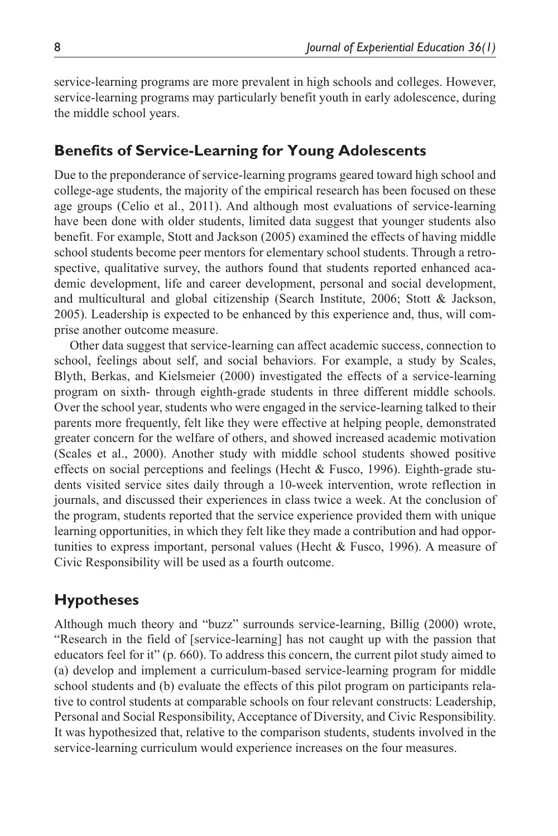service-learning programs are more prevalent in high schools and colleges. However, service-learning programs may particularly benefit youth in early adolescence, during the middle school years.

# **Benefits of Service-Learning for Young Adolescents**

Due to the preponderance of service-learning programs geared toward high school and college-age students, the majority of the empirical research has been focused on these age groups (Celio et al., 2011). And although most evaluations of service-learning have been done with older students, limited data suggest that younger students also benefit. For example, Stott and Jackson (2005) examined the effects of having middle school students become peer mentors for elementary school students. Through a retrospective, qualitative survey, the authors found that students reported enhanced academic development, life and career development, personal and social development, and multicultural and global citizenship (Search Institute, 2006; Stott & Jackson, 2005). Leadership is expected to be enhanced by this experience and, thus, will comprise another outcome measure.

Other data suggest that service-learning can affect academic success, connection to school, feelings about self, and social behaviors. For example, a study by Scales, Blyth, Berkas, and Kielsmeier (2000) investigated the effects of a service-learning program on sixth- through eighth-grade students in three different middle schools. Over the school year, students who were engaged in the service-learning talked to their parents more frequently, felt like they were effective at helping people, demonstrated greater concern for the welfare of others, and showed increased academic motivation (Scales et al., 2000). Another study with middle school students showed positive effects on social perceptions and feelings (Hecht & Fusco, 1996). Eighth-grade students visited service sites daily through a 10-week intervention, wrote reflection in journals, and discussed their experiences in class twice a week. At the conclusion of the program, students reported that the service experience provided them with unique learning opportunities, in which they felt like they made a contribution and had opportunities to express important, personal values (Hecht & Fusco, 1996). A measure of Civic Responsibility will be used as a fourth outcome.

## **Hypotheses**

Although much theory and "buzz" surrounds service-learning, Billig (2000) wrote, "Research in the field of [service-learning] has not caught up with the passion that educators feel for it" (p. 660). To address this concern, the current pilot study aimed to (a) develop and implement a curriculum-based service-learning program for middle school students and (b) evaluate the effects of this pilot program on participants relative to control students at comparable schools on four relevant constructs: Leadership, Personal and Social Responsibility, Acceptance of Diversity, and Civic Responsibility. It was hypothesized that, relative to the comparison students, students involved in the service-learning curriculum would experience increases on the four measures.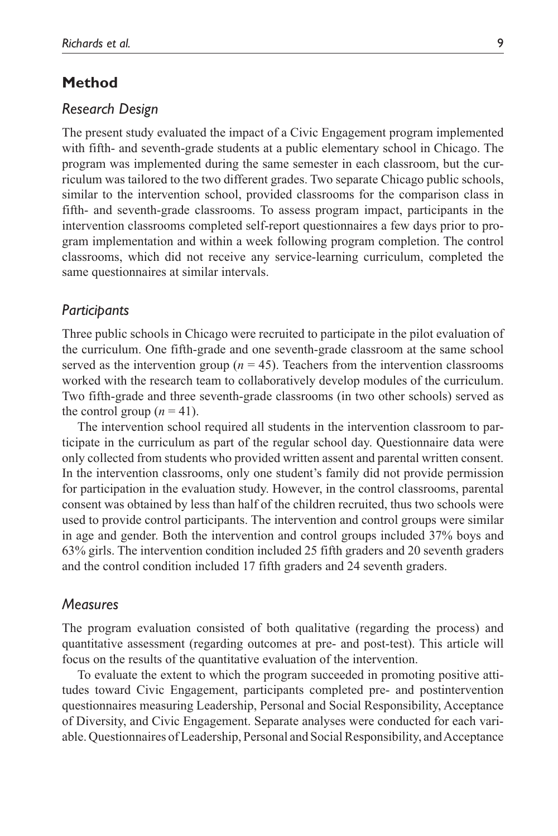#### **Method**

#### *Research Design*

The present study evaluated the impact of a Civic Engagement program implemented with fifth- and seventh-grade students at a public elementary school in Chicago. The program was implemented during the same semester in each classroom, but the curriculum was tailored to the two different grades. Two separate Chicago public schools, similar to the intervention school, provided classrooms for the comparison class in fifth- and seventh-grade classrooms. To assess program impact, participants in the intervention classrooms completed self-report questionnaires a few days prior to program implementation and within a week following program completion. The control classrooms, which did not receive any service-learning curriculum, completed the same questionnaires at similar intervals.

#### *Participants*

Three public schools in Chicago were recruited to participate in the pilot evaluation of the curriculum. One fifth-grade and one seventh-grade classroom at the same school served as the intervention group ( $n = 45$ ). Teachers from the intervention classrooms worked with the research team to collaboratively develop modules of the curriculum. Two fifth-grade and three seventh-grade classrooms (in two other schools) served as the control group  $(n = 41)$ .

The intervention school required all students in the intervention classroom to participate in the curriculum as part of the regular school day. Questionnaire data were only collected from students who provided written assent and parental written consent. In the intervention classrooms, only one student's family did not provide permission for participation in the evaluation study. However, in the control classrooms, parental consent was obtained by less than half of the children recruited, thus two schools were used to provide control participants. The intervention and control groups were similar in age and gender. Both the intervention and control groups included 37% boys and 63% girls. The intervention condition included 25 fifth graders and 20 seventh graders and the control condition included 17 fifth graders and 24 seventh graders.

#### *Measures*

The program evaluation consisted of both qualitative (regarding the process) and quantitative assessment (regarding outcomes at pre- and post-test). This article will focus on the results of the quantitative evaluation of the intervention.

To evaluate the extent to which the program succeeded in promoting positive attitudes toward Civic Engagement, participants completed pre- and postintervention questionnaires measuring Leadership, Personal and Social Responsibility, Acceptance of Diversity, and Civic Engagement. Separate analyses were conducted for each variable. Questionnaires of Leadership, Personal and Social Responsibility, and Acceptance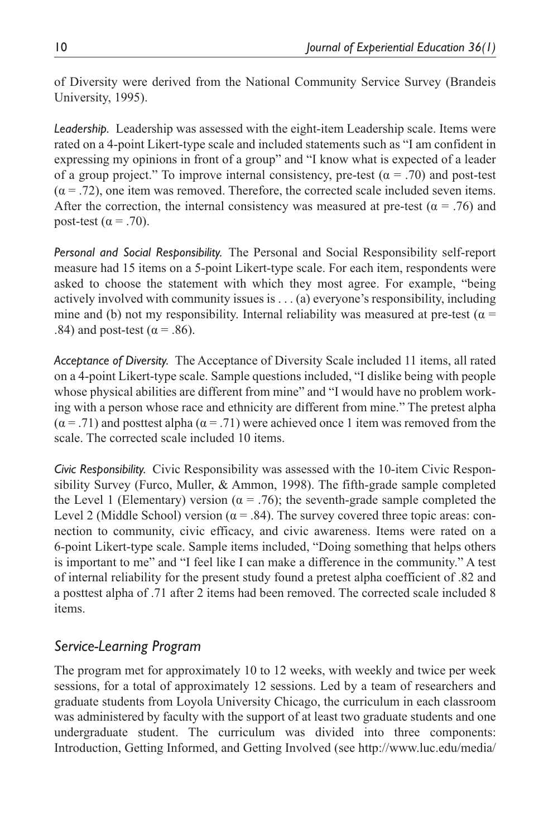of Diversity were derived from the National Community Service Survey (Brandeis University, 1995).

*Leadership.* Leadership was assessed with the eight-item Leadership scale. Items were rated on a 4-point Likert-type scale and included statements such as "I am confident in expressing my opinions in front of a group" and "I know what is expected of a leader of a group project." To improve internal consistency, pre-test ( $\alpha$  = .70) and post-test  $(\alpha = .72)$ , one item was removed. Therefore, the corrected scale included seven items. After the correction, the internal consistency was measured at pre-test ( $\alpha$  = .76) and post-test ( $α = .70$ ).

*Personal and Social Responsibility.* The Personal and Social Responsibility self-report measure had 15 items on a 5-point Likert-type scale. For each item, respondents were asked to choose the statement with which they most agree. For example, "being actively involved with community issues is . . . (a) everyone's responsibility, including mine and (b) not my responsibility. Internal reliability was measured at pre-test ( $\alpha$  = .84) and post-test ( $\alpha$  = .86).

*Acceptance of Diversity.* The Acceptance of Diversity Scale included 11 items, all rated on a 4-point Likert-type scale. Sample questions included, "I dislike being with people whose physical abilities are different from mine" and "I would have no problem working with a person whose race and ethnicity are different from mine." The pretest alpha  $(\alpha = .71)$  and posttest alpha  $(\alpha = .71)$  were achieved once 1 item was removed from the scale. The corrected scale included 10 items.

*Civic Responsibility.* Civic Responsibility was assessed with the 10-item Civic Responsibility Survey (Furco, Muller, & Ammon, 1998). The fifth-grade sample completed the Level 1 (Elementary) version ( $\alpha = .76$ ); the seventh-grade sample completed the Level 2 (Middle School) version ( $\alpha$  = .84). The survey covered three topic areas: connection to community, civic efficacy, and civic awareness. Items were rated on a 6-point Likert-type scale. Sample items included, "Doing something that helps others is important to me" and "I feel like I can make a difference in the community." A test of internal reliability for the present study found a pretest alpha coefficient of .82 and a posttest alpha of .71 after 2 items had been removed. The corrected scale included 8 items.

# *Service-Learning Program*

The program met for approximately 10 to 12 weeks, with weekly and twice per week sessions, for a total of approximately 12 sessions. Led by a team of researchers and graduate students from Loyola University Chicago, the curriculum in each classroom was administered by faculty with the support of at least two graduate students and one undergraduate student. The curriculum was divided into three components: Introduction, Getting Informed, and Getting Involved (see http://www.luc.edu/media/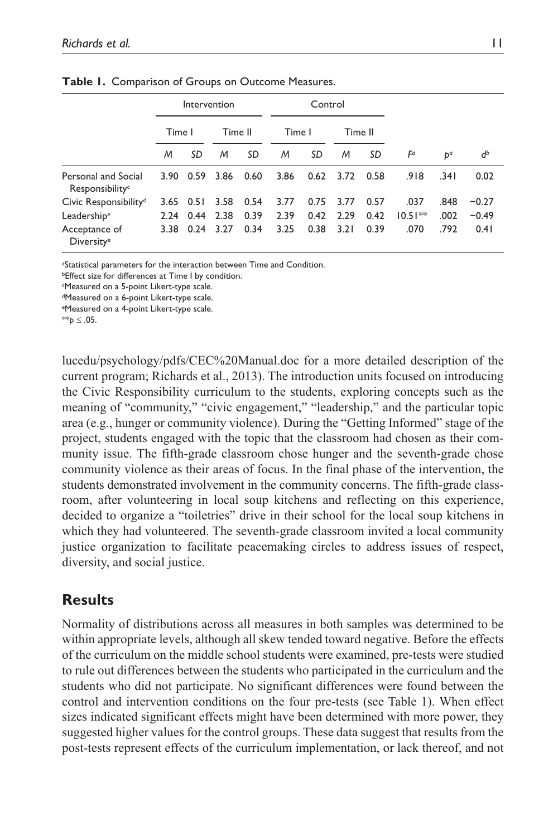|                                                    | Intervention |      |             |      | Control |      |         |      |           |       |         |
|----------------------------------------------------|--------------|------|-------------|------|---------|------|---------|------|-----------|-------|---------|
|                                                    | Time I       |      | Time II     |      | Time I  |      | Time II |      |           |       |         |
|                                                    | M            | SD   | м           | SD   | M       | SD   | M       | SD   | Fa        | $D^a$ | ď       |
| Personal and Social<br>Responsibility <sup>c</sup> | 3.90         | 0.59 | 3.86        | 0.60 | 3.86    | 0.62 | 3.72    | 0.58 | .918      | .341  | 0.02    |
| Civic Responsibility <sup>d</sup>                  | 3.65         | 0.51 | 3.58        | 0.54 | 3.77    | 0.75 | 3.77    | 0.57 | .037      | .848  | $-0.27$ |
| Leadershipe                                        | 2.24         |      | $0.44$ 2.38 | 0.39 | 2.39    | 0.42 | 2.29    | 0.42 | $10.51**$ | .002  | $-0.49$ |
| Acceptance of<br>Diversity <sup>e</sup>            | 3.38         | 0.24 | 3.27        | 0.34 | 3.25    | 0.38 | 3.21    | 0.39 | .070      | .792  | 0.41    |

**Table 1.** Comparison of Groups on Outcome Measures.

<sup>a</sup>Statistical parameters for the interaction between Time and Condition.

**bEffect size for differences at Time I by condition.** 

cMeasured on a 5-point Likert-type scale.

dMeasured on a 6-point Likert-type scale.

eMeasured on a 4-point Likert-type scale.

\*\**p* ≤ .05.

lucedu/psychology/pdfs/CEC%20Manual.doc for a more detailed description of the current program; Richards et al., 2013). The introduction units focused on introducing the Civic Responsibility curriculum to the students, exploring concepts such as the meaning of "community," "civic engagement," "leadership," and the particular topic area (e.g., hunger or community violence). During the "Getting Informed" stage of the project, students engaged with the topic that the classroom had chosen as their community issue. The fifth-grade classroom chose hunger and the seventh-grade chose community violence as their areas of focus. In the final phase of the intervention, the students demonstrated involvement in the community concerns. The fifth-grade classroom, after volunteering in local soup kitchens and reflecting on this experience, decided to organize a "toiletries" drive in their school for the local soup kitchens in which they had volunteered. The seventh-grade classroom invited a local community justice organization to facilitate peacemaking circles to address issues of respect, diversity, and social justice.

# **Results**

Normality of distributions across all measures in both samples was determined to be within appropriate levels, although all skew tended toward negative. Before the effects of the curriculum on the middle school students were examined, pre-tests were studied to rule out differences between the students who participated in the curriculum and the students who did not participate. No significant differences were found between the control and intervention conditions on the four pre-tests (see Table 1). When effect sizes indicated significant effects might have been determined with more power, they suggested higher values for the control groups. These data suggest that results from the post-tests represent effects of the curriculum implementation, or lack thereof, and not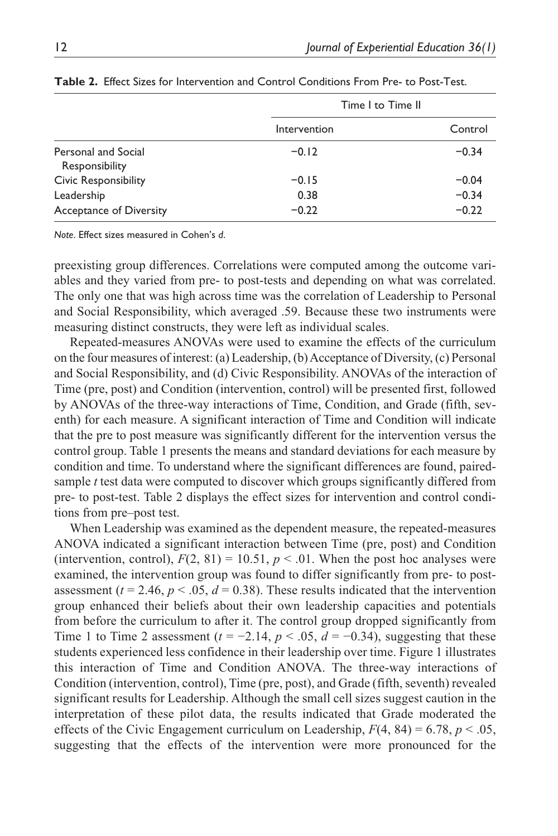|                                       | Time I to Time II |         |  |  |
|---------------------------------------|-------------------|---------|--|--|
|                                       | Intervention      | Control |  |  |
| Personal and Social<br>Responsibility | $-0.12$           | $-0.34$ |  |  |
| Civic Responsibility                  | $-0.15$           | $-0.04$ |  |  |
| Leadership                            | 0.38              | $-0.34$ |  |  |
| Acceptance of Diversity               | $-0.22$           | $-0.22$ |  |  |

**Table 2.** Effect Sizes for Intervention and Control Conditions From Pre- to Post-Test.

*Note*. Effect sizes measured in Cohen's *d*.

preexisting group differences. Correlations were computed among the outcome variables and they varied from pre- to post-tests and depending on what was correlated. The only one that was high across time was the correlation of Leadership to Personal and Social Responsibility, which averaged .59. Because these two instruments were measuring distinct constructs, they were left as individual scales.

Repeated-measures ANOVAs were used to examine the effects of the curriculum on the four measures of interest: (a) Leadership, (b) Acceptance of Diversity, (c) Personal and Social Responsibility, and (d) Civic Responsibility. ANOVAs of the interaction of Time (pre, post) and Condition (intervention, control) will be presented first, followed by ANOVAs of the three-way interactions of Time, Condition, and Grade (fifth, seventh) for each measure. A significant interaction of Time and Condition will indicate that the pre to post measure was significantly different for the intervention versus the control group. Table 1 presents the means and standard deviations for each measure by condition and time. To understand where the significant differences are found, pairedsample *t* test data were computed to discover which groups significantly differed from pre- to post-test. Table 2 displays the effect sizes for intervention and control conditions from pre–post test.

When Leadership was examined as the dependent measure, the repeated-measures ANOVA indicated a significant interaction between Time (pre, post) and Condition (intervention, control),  $F(2, 81) = 10.51$ ,  $p < .01$ . When the post hoc analyses were examined, the intervention group was found to differ significantly from pre- to postassessment ( $t = 2.46$ ,  $p < .05$ ,  $d = 0.38$ ). These results indicated that the intervention group enhanced their beliefs about their own leadership capacities and potentials from before the curriculum to after it. The control group dropped significantly from Time 1 to Time 2 assessment  $(t = -2.14, p < .05, d = -0.34)$ , suggesting that these students experienced less confidence in their leadership over time. Figure 1 illustrates this interaction of Time and Condition ANOVA. The three-way interactions of Condition (intervention, control), Time (pre, post), and Grade (fifth, seventh) revealed significant results for Leadership. Although the small cell sizes suggest caution in the interpretation of these pilot data, the results indicated that Grade moderated the effects of the Civic Engagement curriculum on Leadership,  $F(4, 84) = 6.78$ ,  $p < .05$ , suggesting that the effects of the intervention were more pronounced for the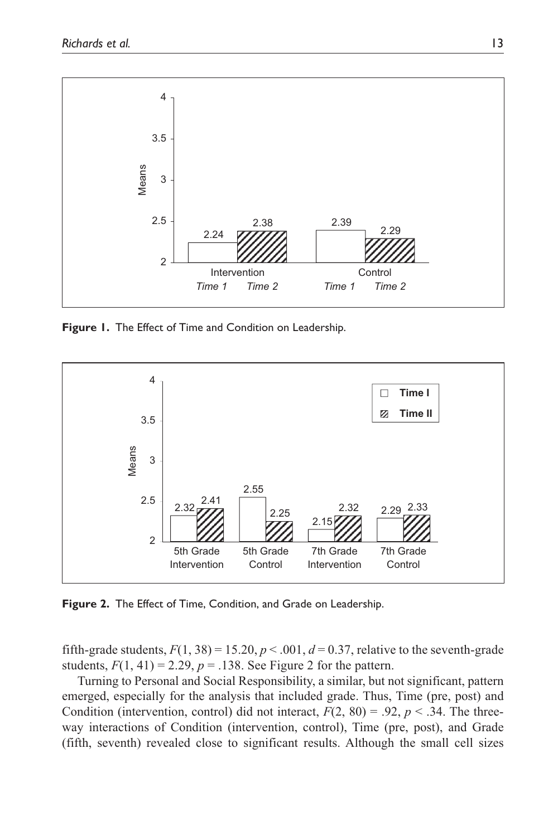

**Figure 1.** The Effect of Time and Condition on Leadership.



**Figure 2.** The Effect of Time, Condition, and Grade on Leadership.

fifth-grade students,  $F(1, 38) = 15.20, p < .001, d = 0.37$ , relative to the seventh-grade students,  $F(1, 41) = 2.29$ ,  $p = .138$ . See Figure 2 for the pattern.

Turning to Personal and Social Responsibility, a similar, but not significant, pattern emerged, especially for the analysis that included grade. Thus, Time (pre, post) and Condition (intervention, control) did not interact,  $F(2, 80) = .92$ ,  $p < .34$ . The threeway interactions of Condition (intervention, control), Time (pre, post), and Grade (fifth, seventh) revealed close to significant results. Although the small cell sizes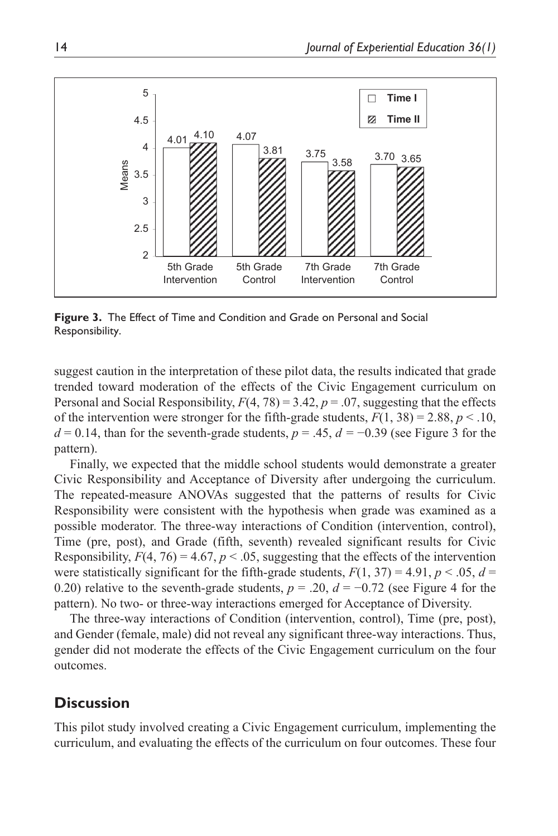

**Figure 3.** The Effect of Time and Condition and Grade on Personal and Social Responsibility.

suggest caution in the interpretation of these pilot data, the results indicated that grade trended toward moderation of the effects of the Civic Engagement curriculum on Personal and Social Responsibility,  $F(4, 78) = 3.42$ ,  $p = .07$ , suggesting that the effects of the intervention were stronger for the fifth-grade students,  $F(1, 38) = 2.88$ ,  $p < 0.10$ ,  $d = 0.14$ , than for the seventh-grade students,  $p = 0.45$ ,  $d = -0.39$  (see Figure 3 for the pattern).

Finally, we expected that the middle school students would demonstrate a greater Civic Responsibility and Acceptance of Diversity after undergoing the curriculum. The repeated-measure ANOVAs suggested that the patterns of results for Civic Responsibility were consistent with the hypothesis when grade was examined as a possible moderator. The three-way interactions of Condition (intervention, control), Time (pre, post), and Grade (fifth, seventh) revealed significant results for Civic Responsibility,  $F(4, 76) = 4.67$ ,  $p < .05$ , suggesting that the effects of the intervention were statistically significant for the fifth-grade students,  $F(1, 37) = 4.91$ ,  $p < .05$ ,  $d =$ 0.20) relative to the seventh-grade students,  $p = .20$ ,  $d = -0.72$  (see Figure 4 for the pattern). No two- or three-way interactions emerged for Acceptance of Diversity.

The three-way interactions of Condition (intervention, control), Time (pre, post), and Gender (female, male) did not reveal any significant three-way interactions. Thus, gender did not moderate the effects of the Civic Engagement curriculum on the four outcomes.

## **Discussion**

This pilot study involved creating a Civic Engagement curriculum, implementing the curriculum, and evaluating the effects of the curriculum on four outcomes. These four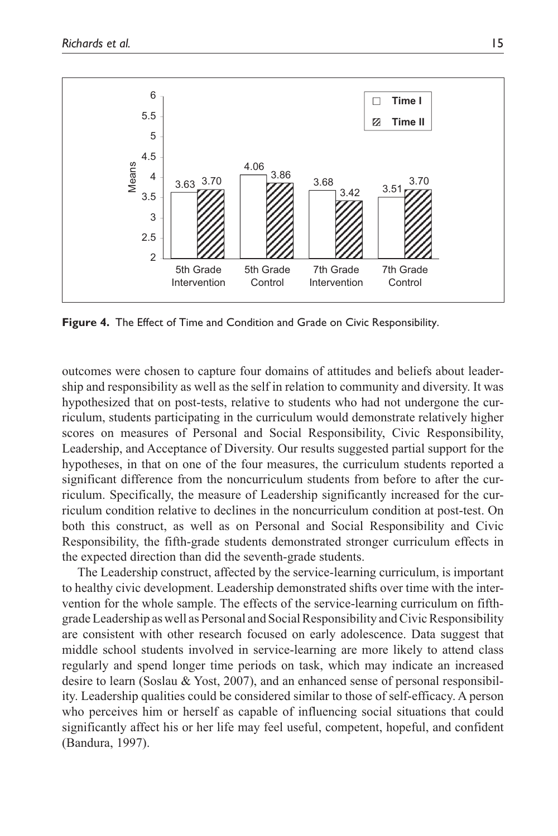

**Figure 4.** The Effect of Time and Condition and Grade on Civic Responsibility.

outcomes were chosen to capture four domains of attitudes and beliefs about leadership and responsibility as well as the self in relation to community and diversity. It was hypothesized that on post-tests, relative to students who had not undergone the curriculum, students participating in the curriculum would demonstrate relatively higher scores on measures of Personal and Social Responsibility, Civic Responsibility, Leadership, and Acceptance of Diversity. Our results suggested partial support for the hypotheses, in that on one of the four measures, the curriculum students reported a significant difference from the noncurriculum students from before to after the curriculum. Specifically, the measure of Leadership significantly increased for the curriculum condition relative to declines in the noncurriculum condition at post-test. On both this construct, as well as on Personal and Social Responsibility and Civic Responsibility, the fifth-grade students demonstrated stronger curriculum effects in the expected direction than did the seventh-grade students.

The Leadership construct, affected by the service-learning curriculum, is important to healthy civic development. Leadership demonstrated shifts over time with the intervention for the whole sample. The effects of the service-learning curriculum on fifthgrade Leadership as well as Personal and Social Responsibility and Civic Responsibility are consistent with other research focused on early adolescence. Data suggest that middle school students involved in service-learning are more likely to attend class regularly and spend longer time periods on task, which may indicate an increased desire to learn (Soslau & Yost, 2007), and an enhanced sense of personal responsibility. Leadership qualities could be considered similar to those of self-efficacy. A person who perceives him or herself as capable of influencing social situations that could significantly affect his or her life may feel useful, competent, hopeful, and confident (Bandura, 1997).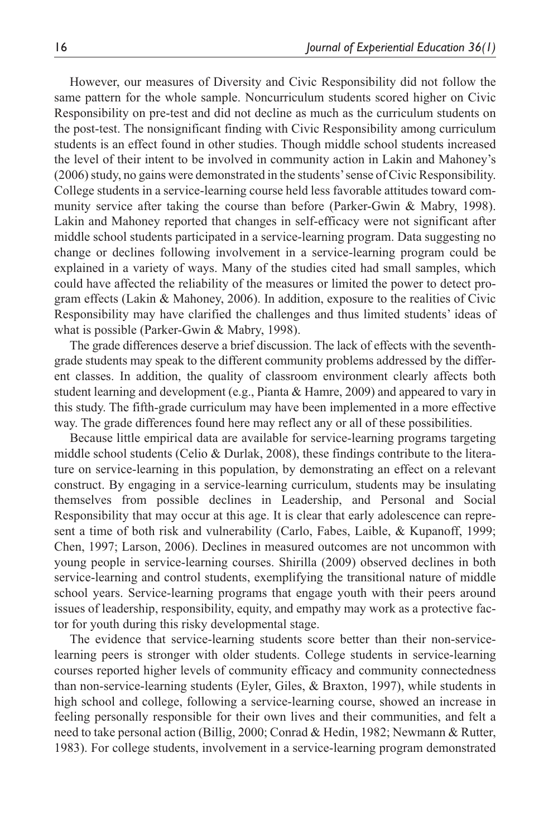However, our measures of Diversity and Civic Responsibility did not follow the same pattern for the whole sample. Noncurriculum students scored higher on Civic Responsibility on pre-test and did not decline as much as the curriculum students on the post-test. The nonsignificant finding with Civic Responsibility among curriculum students is an effect found in other studies. Though middle school students increased the level of their intent to be involved in community action in Lakin and Mahoney's (2006) study, no gains were demonstrated in the students' sense of Civic Responsibility. College students in a service-learning course held less favorable attitudes toward community service after taking the course than before (Parker-Gwin & Mabry, 1998). Lakin and Mahoney reported that changes in self-efficacy were not significant after middle school students participated in a service-learning program. Data suggesting no change or declines following involvement in a service-learning program could be explained in a variety of ways. Many of the studies cited had small samples, which could have affected the reliability of the measures or limited the power to detect program effects (Lakin & Mahoney, 2006). In addition, exposure to the realities of Civic Responsibility may have clarified the challenges and thus limited students' ideas of what is possible (Parker-Gwin & Mabry, 1998).

The grade differences deserve a brief discussion. The lack of effects with the seventhgrade students may speak to the different community problems addressed by the different classes. In addition, the quality of classroom environment clearly affects both student learning and development (e.g., Pianta & Hamre, 2009) and appeared to vary in this study. The fifth-grade curriculum may have been implemented in a more effective way. The grade differences found here may reflect any or all of these possibilities.

Because little empirical data are available for service-learning programs targeting middle school students (Celio & Durlak, 2008), these findings contribute to the literature on service-learning in this population, by demonstrating an effect on a relevant construct. By engaging in a service-learning curriculum, students may be insulating themselves from possible declines in Leadership, and Personal and Social Responsibility that may occur at this age. It is clear that early adolescence can represent a time of both risk and vulnerability (Carlo, Fabes, Laible, & Kupanoff, 1999; Chen, 1997; Larson, 2006). Declines in measured outcomes are not uncommon with young people in service-learning courses. Shirilla (2009) observed declines in both service-learning and control students, exemplifying the transitional nature of middle school years. Service-learning programs that engage youth with their peers around issues of leadership, responsibility, equity, and empathy may work as a protective factor for youth during this risky developmental stage.

The evidence that service-learning students score better than their non-servicelearning peers is stronger with older students. College students in service-learning courses reported higher levels of community efficacy and community connectedness than non-service-learning students (Eyler, Giles, & Braxton, 1997), while students in high school and college, following a service-learning course, showed an increase in feeling personally responsible for their own lives and their communities, and felt a need to take personal action (Billig, 2000; Conrad & Hedin, 1982; Newmann & Rutter, 1983). For college students, involvement in a service-learning program demonstrated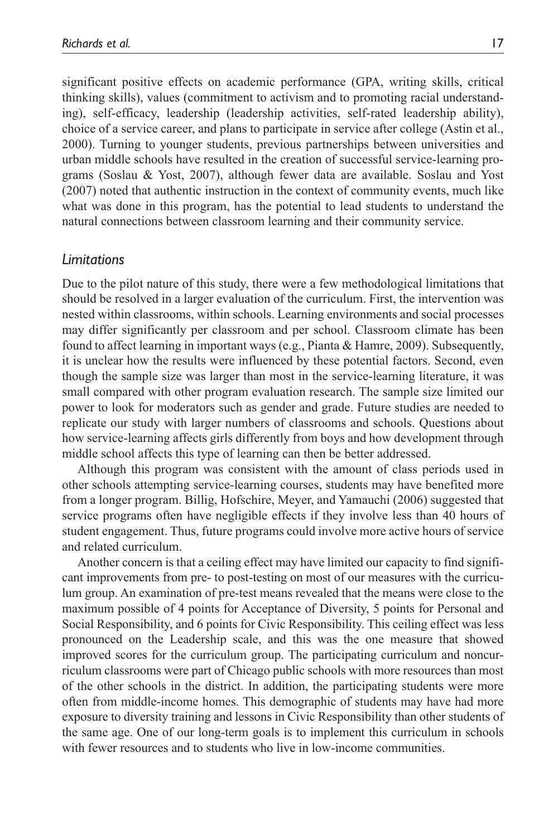significant positive effects on academic performance (GPA, writing skills, critical thinking skills), values (commitment to activism and to promoting racial understanding), self-efficacy, leadership (leadership activities, self-rated leadership ability), choice of a service career, and plans to participate in service after college (Astin et al., 2000). Turning to younger students, previous partnerships between universities and urban middle schools have resulted in the creation of successful service-learning programs (Soslau & Yost, 2007), although fewer data are available. Soslau and Yost (2007) noted that authentic instruction in the context of community events, much like what was done in this program, has the potential to lead students to understand the natural connections between classroom learning and their community service.

#### *Limitations*

Due to the pilot nature of this study, there were a few methodological limitations that should be resolved in a larger evaluation of the curriculum. First, the intervention was nested within classrooms, within schools. Learning environments and social processes may differ significantly per classroom and per school. Classroom climate has been found to affect learning in important ways (e.g., Pianta & Hamre, 2009). Subsequently, it is unclear how the results were influenced by these potential factors. Second, even though the sample size was larger than most in the service-learning literature, it was small compared with other program evaluation research. The sample size limited our power to look for moderators such as gender and grade. Future studies are needed to replicate our study with larger numbers of classrooms and schools. Questions about how service-learning affects girls differently from boys and how development through middle school affects this type of learning can then be better addressed.

Although this program was consistent with the amount of class periods used in other schools attempting service-learning courses, students may have benefited more from a longer program. Billig, Hofschire, Meyer, and Yamauchi (2006) suggested that service programs often have negligible effects if they involve less than 40 hours of student engagement. Thus, future programs could involve more active hours of service and related curriculum.

Another concern is that a ceiling effect may have limited our capacity to find significant improvements from pre- to post-testing on most of our measures with the curriculum group. An examination of pre-test means revealed that the means were close to the maximum possible of 4 points for Acceptance of Diversity, 5 points for Personal and Social Responsibility, and 6 points for Civic Responsibility. This ceiling effect was less pronounced on the Leadership scale, and this was the one measure that showed improved scores for the curriculum group. The participating curriculum and noncurriculum classrooms were part of Chicago public schools with more resources than most of the other schools in the district. In addition, the participating students were more often from middle-income homes. This demographic of students may have had more exposure to diversity training and lessons in Civic Responsibility than other students of the same age. One of our long-term goals is to implement this curriculum in schools with fewer resources and to students who live in low-income communities.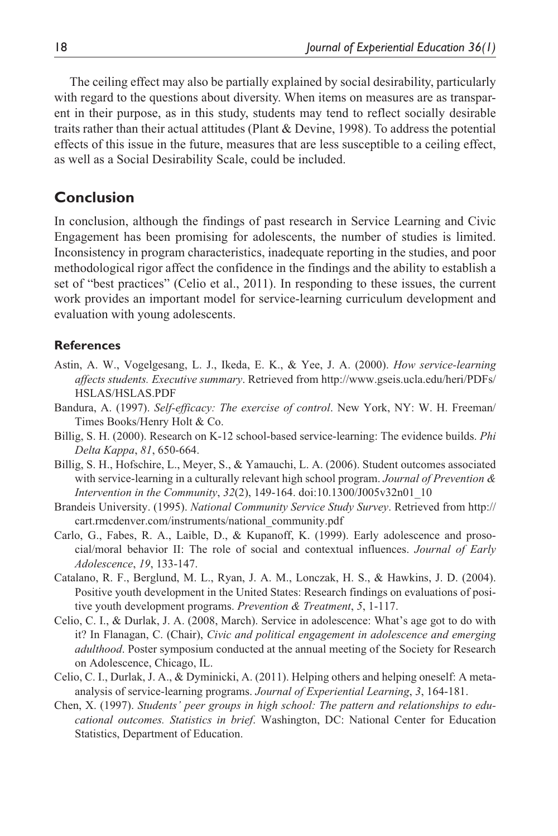The ceiling effect may also be partially explained by social desirability, particularly with regard to the questions about diversity. When items on measures are as transparent in their purpose, as in this study, students may tend to reflect socially desirable traits rather than their actual attitudes (Plant & Devine, 1998). To address the potential effects of this issue in the future, measures that are less susceptible to a ceiling effect, as well as a Social Desirability Scale, could be included.

## **Conclusion**

In conclusion, although the findings of past research in Service Learning and Civic Engagement has been promising for adolescents, the number of studies is limited. Inconsistency in program characteristics, inadequate reporting in the studies, and poor methodological rigor affect the confidence in the findings and the ability to establish a set of "best practices" (Celio et al., 2011). In responding to these issues, the current work provides an important model for service-learning curriculum development and evaluation with young adolescents.

#### **References**

- Astin, A. W., Vogelgesang, L. J., Ikeda, E. K., & Yee, J. A. (2000). *How service-learning affects students. Executive summary*. Retrieved from http://www.gseis.ucla.edu/heri/PDFs/ HSLAS/HSLAS.PDF
- Bandura, A. (1997). *Self-efficacy: The exercise of control*. New York, NY: W. H. Freeman/ Times Books/Henry Holt & Co.
- Billig, S. H. (2000). Research on K-12 school-based service-learning: The evidence builds. *Phi Delta Kappa*, *81*, 650-664.
- Billig, S. H., Hofschire, L., Meyer, S., & Yamauchi, L. A. (2006). Student outcomes associated with service-learning in a culturally relevant high school program. *Journal of Prevention & Intervention in the Community*, *32*(2), 149-164. doi:10.1300/J005v32n01\_10
- Brandeis University. (1995). *National Community Service Study Survey*. Retrieved from http:// cart.rmcdenver.com/instruments/national\_community.pdf
- Carlo, G., Fabes, R. A., Laible, D., & Kupanoff, K. (1999). Early adolescence and prosocial/moral behavior II: The role of social and contextual influences. *Journal of Early Adolescence*, *19*, 133-147.
- Catalano, R. F., Berglund, M. L., Ryan, J. A. M., Lonczak, H. S., & Hawkins, J. D. (2004). Positive youth development in the United States: Research findings on evaluations of positive youth development programs. *Prevention & Treatment*, *5*, 1-117.
- Celio, C. I., & Durlak, J. A. (2008, March). Service in adolescence: What's age got to do with it? In Flanagan, C. (Chair), *Civic and political engagement in adolescence and emerging adulthood*. Poster symposium conducted at the annual meeting of the Society for Research on Adolescence, Chicago, IL.
- Celio, C. I., Durlak, J. A., & Dyminicki, A. (2011). Helping others and helping oneself: A metaanalysis of service-learning programs. *Journal of Experiential Learning*, *3*, 164-181.
- Chen, X. (1997). *Students' peer groups in high school: The pattern and relationships to educational outcomes. Statistics in brief*. Washington, DC: National Center for Education Statistics, Department of Education.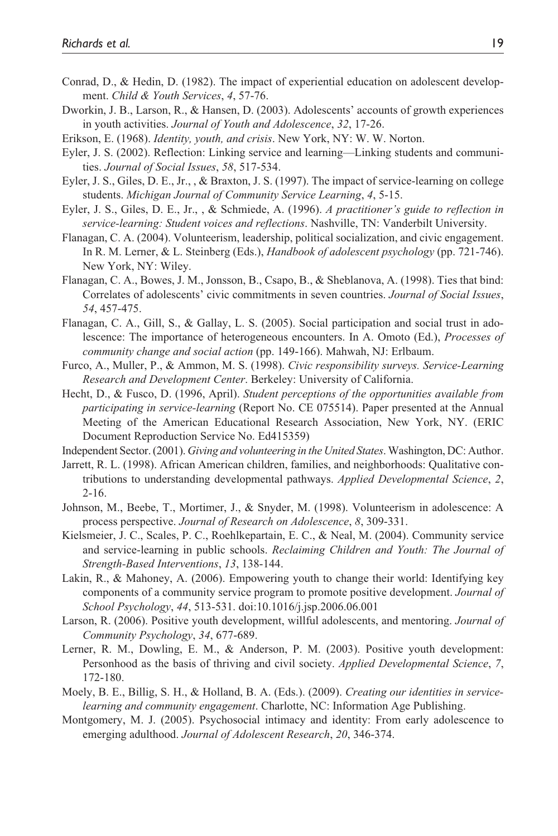- Conrad, D., & Hedin, D. (1982). The impact of experiential education on adolescent development. *Child & Youth Services*, *4*, 57-76.
- Dworkin, J. B., Larson, R., & Hansen, D. (2003). Adolescents' accounts of growth experiences in youth activities. *Journal of Youth and Adolescence*, *32*, 17-26.
- Erikson, E. (1968). *Identity, youth, and crisis*. New York, NY: W. W. Norton.
- Eyler, J. S. (2002). Reflection: Linking service and learning—Linking students and communities. *Journal of Social Issues*, *58*, 517-534.
- Eyler, J. S., Giles, D. E., Jr., , & Braxton, J. S. (1997). The impact of service-learning on college students. *Michigan Journal of Community Service Learning*, *4*, 5-15.
- Eyler, J. S., Giles, D. E., Jr., , & Schmiede, A. (1996). *A practitioner's guide to reflection in service-learning: Student voices and reflections*. Nashville, TN: Vanderbilt University.
- Flanagan, C. A. (2004). Volunteerism, leadership, political socialization, and civic engagement. In R. M. Lerner, & L. Steinberg (Eds.), *Handbook of adolescent psychology* (pp. 721-746). New York, NY: Wiley.
- Flanagan, C. A., Bowes, J. M., Jonsson, B., Csapo, B., & Sheblanova, A. (1998). Ties that bind: Correlates of adolescents' civic commitments in seven countries. *Journal of Social Issues*, *54*, 457-475.
- Flanagan, C. A., Gill, S., & Gallay, L. S. (2005). Social participation and social trust in adolescence: The importance of heterogeneous encounters. In A. Omoto (Ed.), *Processes of community change and social action* (pp. 149-166). Mahwah, NJ: Erlbaum.
- Furco, A., Muller, P., & Ammon, M. S. (1998). *Civic responsibility surveys. Service-Learning Research and Development Center*. Berkeley: University of California.
- Hecht, D., & Fusco, D. (1996, April). *Student perceptions of the opportunities available from participating in service-learning* (Report No. CE 075514). Paper presented at the Annual Meeting of the American Educational Research Association, New York, NY. (ERIC Document Reproduction Service No. Ed415359)
- Independent Sector. (2001). *Giving and volunteering in the United States*. Washington, DC: Author.
- Jarrett, R. L. (1998). African American children, families, and neighborhoods: Qualitative contributions to understanding developmental pathways. *Applied Developmental Science*, *2*, 2-16.
- Johnson, M., Beebe, T., Mortimer, J., & Snyder, M. (1998). Volunteerism in adolescence: A process perspective. *Journal of Research on Adolescence*, *8*, 309-331.
- Kielsmeier, J. C., Scales, P. C., Roehlkepartain, E. C., & Neal, M. (2004). Community service and service-learning in public schools. *Reclaiming Children and Youth: The Journal of Strength-Based Interventions*, *13*, 138-144.
- Lakin, R., & Mahoney, A. (2006). Empowering youth to change their world: Identifying key components of a community service program to promote positive development. *Journal of School Psychology*, *44*, 513-531. doi:10.1016/j.jsp.2006.06.001
- Larson, R. (2006). Positive youth development, willful adolescents, and mentoring. *Journal of Community Psychology*, *34*, 677-689.
- Lerner, R. M., Dowling, E. M., & Anderson, P. M. (2003). Positive youth development: Personhood as the basis of thriving and civil society. *Applied Developmental Science*, *7*, 172-180.
- Moely, B. E., Billig, S. H., & Holland, B. A. (Eds.). (2009). *Creating our identities in servicelearning and community engagement*. Charlotte, NC: Information Age Publishing.
- Montgomery, M. J. (2005). Psychosocial intimacy and identity: From early adolescence to emerging adulthood. *Journal of Adolescent Research*, *20*, 346-374.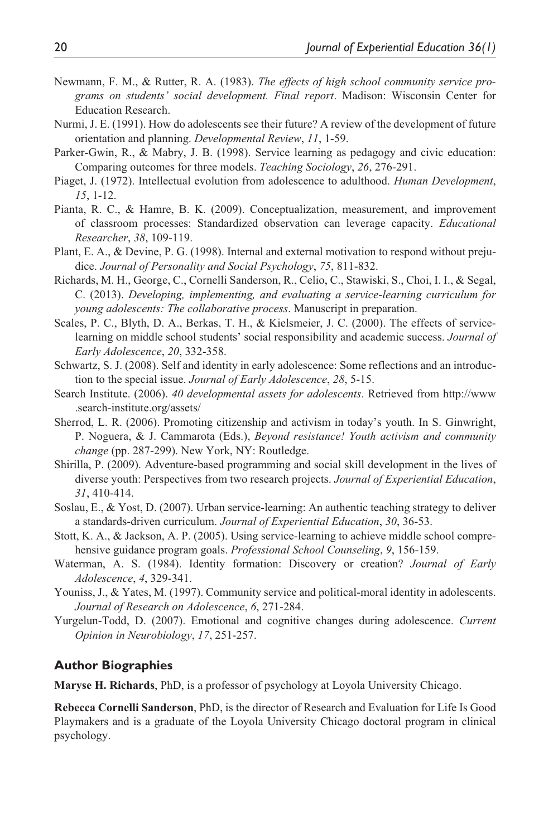- Newmann, F. M., & Rutter, R. A. (1983). *The effects of high school community service programs on students' social development. Final report*. Madison: Wisconsin Center for Education Research.
- Nurmi, J. E. (1991). How do adolescents see their future? A review of the development of future orientation and planning. *Developmental Review*, *11*, 1-59.
- Parker-Gwin, R., & Mabry, J. B. (1998). Service learning as pedagogy and civic education: Comparing outcomes for three models. *Teaching Sociology*, *26*, 276-291.
- Piaget, J. (1972). Intellectual evolution from adolescence to adulthood. *Human Development*, *15*, 1-12.
- Pianta, R. C., & Hamre, B. K. (2009). Conceptualization, measurement, and improvement of classroom processes: Standardized observation can leverage capacity. *Educational Researcher*, *38*, 109-119.
- Plant, E. A., & Devine, P. G. (1998). Internal and external motivation to respond without prejudice. *Journal of Personality and Social Psychology*, *75*, 811-832.
- Richards, M. H., George, C., Cornelli Sanderson, R., Celio, C., Stawiski, S., Choi, I. I., & Segal, C. (2013). *Developing, implementing, and evaluating a service-learning curriculum for young adolescents: The collaborative process*. Manuscript in preparation.
- Scales, P. C., Blyth, D. A., Berkas, T. H., & Kielsmeier, J. C. (2000). The effects of servicelearning on middle school students' social responsibility and academic success. *Journal of Early Adolescence*, *20*, 332-358.
- Schwartz, S. J. (2008). Self and identity in early adolescence: Some reflections and an introduction to the special issue. *Journal of Early Adolescence*, *28*, 5-15.
- Search Institute. (2006). *40 developmental assets for adolescents*. Retrieved from http://www .search-institute.org/assets/
- Sherrod, L. R. (2006). Promoting citizenship and activism in today's youth. In S. Ginwright, P. Noguera, & J. Cammarota (Eds.), *Beyond resistance! Youth activism and community change* (pp. 287-299). New York, NY: Routledge.
- Shirilla, P. (2009). Adventure-based programming and social skill development in the lives of diverse youth: Perspectives from two research projects. *Journal of Experiential Education*, *31*, 410-414.
- Soslau, E., & Yost, D. (2007). Urban service-learning: An authentic teaching strategy to deliver a standards-driven curriculum. *Journal of Experiential Education*, *30*, 36-53.
- Stott, K. A., & Jackson, A. P. (2005). Using service-learning to achieve middle school comprehensive guidance program goals. *Professional School Counseling*, *9*, 156-159.
- Waterman, A. S. (1984). Identity formation: Discovery or creation? *Journal of Early Adolescence*, *4*, 329-341.
- Youniss, J., & Yates, M. (1997). Community service and political-moral identity in adolescents. *Journal of Research on Adolescence*, *6*, 271-284.
- Yurgelun-Todd, D. (2007). Emotional and cognitive changes during adolescence. *Current Opinion in Neurobiology*, *17*, 251-257.

#### **Author Biographies**

**Maryse H. Richards**, PhD, is a professor of psychology at Loyola University Chicago.

**Rebecca Cornelli Sanderson**, PhD, is the director of Research and Evaluation for Life Is Good Playmakers and is a graduate of the Loyola University Chicago doctoral program in clinical psychology.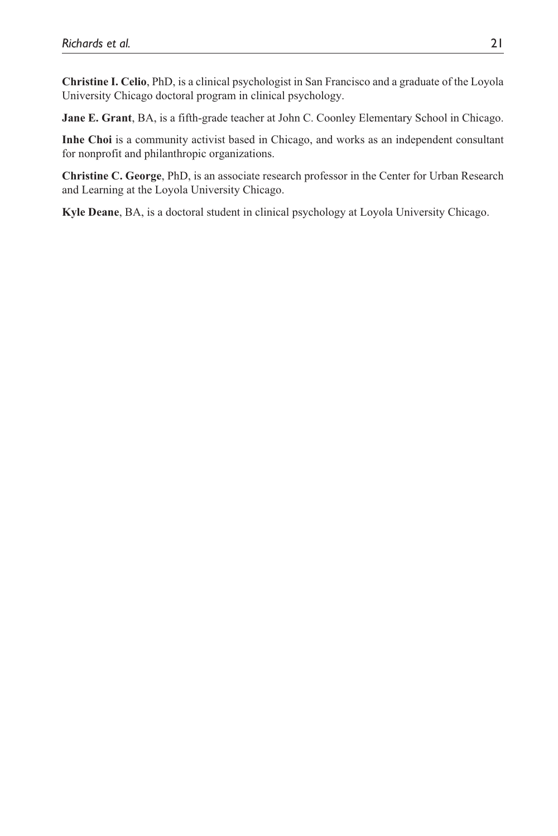**Christine I. Celio**, PhD, is a clinical psychologist in San Francisco and a graduate of the Loyola University Chicago doctoral program in clinical psychology.

**Jane E. Grant**, BA, is a fifth-grade teacher at John C. Coonley Elementary School in Chicago.

**Inhe Choi** is a community activist based in Chicago, and works as an independent consultant for nonprofit and philanthropic organizations.

**Christine C. George**, PhD, is an associate research professor in the Center for Urban Research and Learning at the Loyola University Chicago.

**Kyle Deane**, BA, is a doctoral student in clinical psychology at Loyola University Chicago.